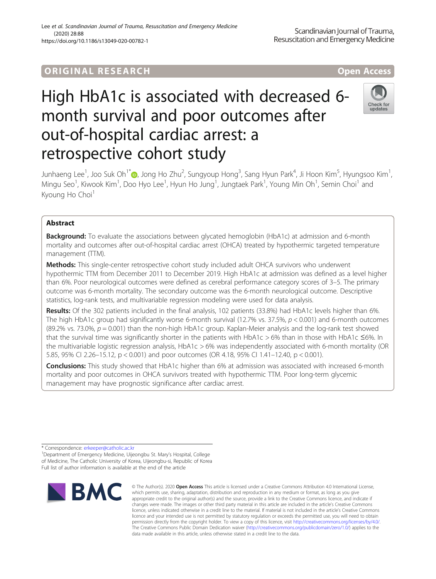## ORIGINA L R E S EA RCH Open Access



# High HbA1c is associated with decreased 6 month survival and poor outcomes after out-of-hospital cardiac arrest: a retrospective cohort study



Junhaeng Lee<sup>1</sup>[,](http://orcid.org/0000-0003-0519-9824) Joo Suk Oh<sup>1\*</sup>©, Jong Ho Zhu<sup>2</sup>, Sungyoup Hong<sup>3</sup>, Sang Hyun Park<sup>4</sup>, Ji Hoon Kim<sup>5</sup>, Hyungsoo Kim<sup>1</sup> , Mingu Seo<sup>1</sup>, Kiwook Kim<sup>1</sup>, Doo Hyo Lee<sup>1</sup>, Hyun Ho Jung<sup>1</sup>, Jungtaek Park<sup>1</sup>, Young Min Oh<sup>1</sup>, Semin Choi<sup>1</sup> and Kyoung Ho Choi<sup>1</sup>

## Abstract

**Background:** To evaluate the associations between glycated hemoglobin (HbA1c) at admission and 6-month mortality and outcomes after out-of-hospital cardiac arrest (OHCA) treated by hypothermic targeted temperature management (TTM).

Methods: This single-center retrospective cohort study included adult OHCA survivors who underwent hypothermic TTM from December 2011 to December 2019. High HbA1c at admission was defined as a level higher than 6%. Poor neurological outcomes were defined as cerebral performance category scores of 3–5. The primary outcome was 6-month mortality. The secondary outcome was the 6-month neurological outcome. Descriptive statistics, log-rank tests, and multivariable regression modeling were used for data analysis.

Results: Of the 302 patients included in the final analysis, 102 patients (33.8%) had HbA1c levels higher than 6%. The high HbA1c group had significantly worse 6-month survival (12.7% vs. 37.5%,  $p < 0.001$ ) and 6-month outcomes (89.2% vs. 73.0%,  $p = 0.001$ ) than the non-high HbA1c group. Kaplan-Meier analysis and the log-rank test showed that the survival time was significantly shorter in the patients with HbA1c > 6% than in those with HbA1c ≤6%. In the multivariable logistic regression analysis, HbA1c > 6% was independently associated with 6-month mortality (OR 5.85, 95% CI 2.26–15.12, p < 0.001) and poor outcomes (OR 4.18, 95% CI 1.41–12.40, p < 0.001).

**Conclusions:** This study showed that HbA1c higher than 6% at admission was associated with increased 6-month mortality and poor outcomes in OHCA survivors treated with hypothermic TTM. Poor long-term glycemic management may have prognostic significance after cardiac arrest.

Department of Emergency Medicine, Uijeongbu St. Mary's Hospital, College of Medicine, The Catholic University of Korea, Uijeongbu-si, Republic of Korea Full list of author information is available at the end of the article



<sup>©</sup> The Author(s), 2020 **Open Access** This article is licensed under a Creative Commons Attribution 4.0 International License, which permits use, sharing, adaptation, distribution and reproduction in any medium or format, as long as you give appropriate credit to the original author(s) and the source, provide a link to the Creative Commons licence, and indicate if changes were made. The images or other third party material in this article are included in the article's Creative Commons licence, unless indicated otherwise in a credit line to the material. If material is not included in the article's Creative Commons licence and your intended use is not permitted by statutory regulation or exceeds the permitted use, you will need to obtain permission directly from the copyright holder. To view a copy of this licence, visit [http://creativecommons.org/licenses/by/4.0/.](http://creativecommons.org/licenses/by/4.0/) The Creative Commons Public Domain Dedication waiver [\(http://creativecommons.org/publicdomain/zero/1.0/](http://creativecommons.org/publicdomain/zero/1.0/)) applies to the data made available in this article, unless otherwise stated in a credit line to the data.

<sup>\*</sup> Correspondence: [erkeeper@catholic.ac.kr](mailto:erkeeper@catholic.ac.kr) <sup>1</sup>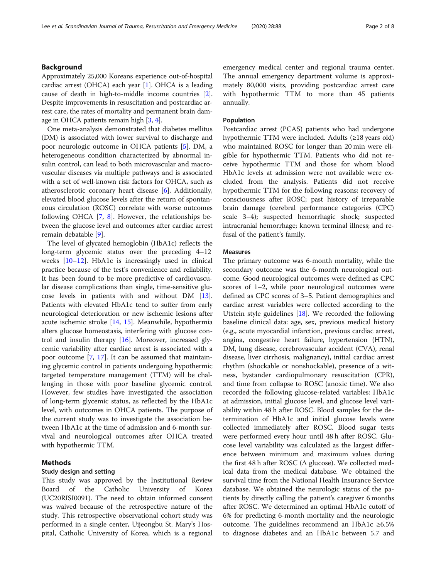## Background

Approximately 25,000 Koreans experience out-of-hospital cardiac arrest (OHCA) each year [\[1](#page-6-0)]. OHCA is a leading cause of death in high-to-middle income countries [[2](#page-6-0)]. Despite improvements in resuscitation and postcardiac arrest care, the rates of mortality and permanent brain damage in OHCA patients remain high [\[3,](#page-6-0) [4\]](#page-6-0).

One meta-analysis demonstrated that diabetes mellitus (DM) is associated with lower survival to discharge and poor neurologic outcome in OHCA patients [[5\]](#page-6-0). DM, a heterogeneous condition characterized by abnormal insulin control, can lead to both microvascular and macrovascular diseases via multiple pathways and is associated with a set of well-known risk factors for OHCA, such as atherosclerotic coronary heart disease [[6](#page-6-0)]. Additionally, elevated blood glucose levels after the return of spontaneous circulation (ROSC) correlate with worse outcomes following OHCA [\[7,](#page-6-0) [8](#page-7-0)]. However, the relationships between the glucose level and outcomes after cardiac arrest remain debatable [\[9](#page-7-0)].

The level of glycated hemoglobin (HbA1c) reflects the long-term glycemic status over the preceding 4–12 weeks [\[10](#page-7-0)–[12\]](#page-7-0). HbA1c is increasingly used in clinical practice because of the test's convenience and reliability. It has been found to be more predictive of cardiovascular disease complications than single, time-sensitive glucose levels in patients with and without DM [\[13](#page-7-0)]. Patients with elevated HbA1c tend to suffer from early neurological deterioration or new ischemic lesions after acute ischemic stroke [\[14](#page-7-0), [15\]](#page-7-0). Meanwhile, hypothermia alters glucose homeostasis, interfering with glucose control and insulin therapy [[16\]](#page-7-0). Moreover, increased glycemic variability after cardiac arrest is associated with a poor outcome [[7,](#page-6-0) [17](#page-7-0)]. It can be assumed that maintaining glycemic control in patients undergoing hypothermic targeted temperature management (TTM) will be challenging in those with poor baseline glycemic control. However, few studies have investigated the association of long-term glycemic status, as reflected by the HbA1c level, with outcomes in OHCA patients. The purpose of the current study was to investigate the association between HbA1c at the time of admission and 6-month survival and neurological outcomes after OHCA treated with hypothermic TTM.

## Methods

#### Study design and setting

This study was approved by the Institutional Review Board of the Catholic University of Korea (UC20RISI0091). The need to obtain informed consent was waived because of the retrospective nature of the study. This retrospective observational cohort study was performed in a single center, Uijeongbu St. Mary's Hospital, Catholic University of Korea, which is a regional emergency medical center and regional trauma center. The annual emergency department volume is approximately 80,000 visits, providing postcardiac arrest care with hypothermic TTM to more than 45 patients annually.

#### Population

Postcardiac arrest (PCAS) patients who had undergone hypothermic TTM were included. Adults (≥18 years old) who maintained ROSC for longer than 20 min were eligible for hypothermic TTM. Patients who did not receive hypothermic TTM and those for whom blood HbA1c levels at admission were not available were excluded from the analysis. Patients did not receive hypothermic TTM for the following reasons: recovery of consciousness after ROSC; past history of irreparable brain damage (cerebral performance categories (CPC) scale 3–4); suspected hemorrhagic shock; suspected intracranial hemorrhage; known terminal illness; and refusal of the patient's family.

#### Measures

The primary outcome was 6-month mortality, while the secondary outcome was the 6-month neurological outcome. Good neurological outcomes were defined as CPC scores of 1–2, while poor neurological outcomes were defined as CPC scores of 3–5. Patient demographics and cardiac arrest variables were collected according to the Utstein style guidelines [[18\]](#page-7-0). We recorded the following baseline clinical data: age, sex, previous medical history (e.g., acute myocardial infarction, previous cardiac arrest, angina, congestive heart failure, hypertension (HTN), DM, lung disease, cerebrovascular accident (CVA), renal disease, liver cirrhosis, malignancy), initial cardiac arrest rhythm (shockable or nonshockable), presence of a witness, bystander cardiopulmonary resuscitation (CPR), and time from collapse to ROSC (anoxic time). We also recorded the following glucose-related variables: HbA1c at admission, initial glucose level, and glucose level variability within 48 h after ROSC. Blood samples for the determination of HbA1c and initial glucose levels were collected immediately after ROSC. Blood sugar tests were performed every hour until 48 h after ROSC. Glucose level variability was calculated as the largest difference between minimum and maximum values during the first 48 h after ROSC ( $\Delta$  glucose). We collected medical data from the medical database. We obtained the survival time from the National Health Insurance Service database. We obtained the neurologic status of the patients by directly calling the patient's caregiver 6 months after ROSC. We determined an optimal HbA1c cutoff of 6% for predicting 6-month mortality and the neurologic outcome. The guidelines recommend an HbA1c ≥6.5% to diagnose diabetes and an HbA1c between 5.7 and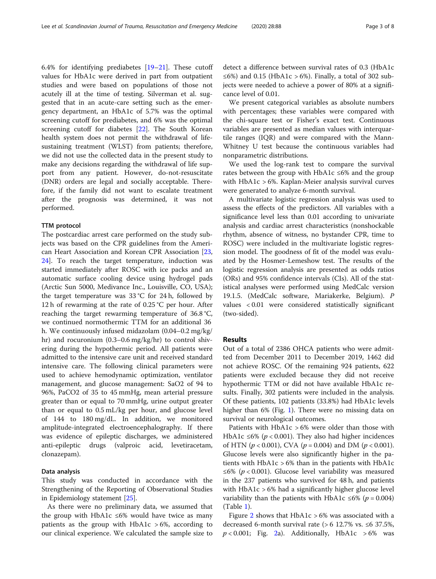6.4% for identifying prediabetes [[19](#page-7-0)–[21\]](#page-7-0). These cutoff values for HbA1c were derived in part from outpatient studies and were based on populations of those not acutely ill at the time of testing. Silverman et al. suggested that in an acute-care setting such as the emergency department, an HbA1c of 5.7% was the optimal screening cutoff for prediabetes, and 6% was the optimal screening cutoff for diabetes [\[22\]](#page-7-0). The South Korean health system does not permit the withdrawal of lifesustaining treatment (WLST) from patients; therefore, we did not use the collected data in the present study to make any decisions regarding the withdrawal of life support from any patient. However, do-not-resuscitate (DNR) orders are legal and socially acceptable. Therefore, if the family did not want to escalate treatment after the prognosis was determined, it was not performed.

#### TTM protocol

The postcardiac arrest care performed on the study subjects was based on the CPR guidelines from the American Heart Association and Korean CPR Association [[23](#page-7-0), [24\]](#page-7-0). To reach the target temperature, induction was started immediately after ROSC with ice packs and an automatic surface cooling device using hydrogel pads (Arctic Sun 5000, Medivance Inc., Louisville, CO, USA); the target temperature was 33 °C for 24 h, followed by 12 h of rewarming at the rate of 0.25 °C per hour. After reaching the target rewarming temperature of 36.8 °C, we continued normothermic TTM for an additional 36 h. We continuously infused midazolam (0.04–0.2 mg/kg/ hr) and rocuronium (0.3–0.6 mg/kg/hr) to control shivering during the hypothermic period. All patients were admitted to the intensive care unit and received standard intensive care. The following clinical parameters were used to achieve hemodynamic optimization, ventilator management, and glucose management: SaO2 of 94 to 96%, PaCO2 of 35 to 45 mmHg, mean arterial pressure greater than or equal to 70 mmHg, urine output greater than or equal to 0.5 mL/kg per hour, and glucose level of 144 to 180 mg/dL. In addition, we monitored amplitude-integrated electroencephalography. If there was evidence of epileptic discharges, we administered anti-epileptic drugs (valproic acid, levetiracetam, clonazepam).

#### Data analysis

This study was conducted in accordance with the Strengthening of the Reporting of Observational Studies in Epidemiology statement [\[25](#page-7-0)].

As there were no preliminary data, we assumed that the group with HbA1c ≤6% would have twice as many patients as the group with  $HbA1c > 6%$ , according to our clinical experience. We calculated the sample size to detect a difference between survival rates of 0.3 (HbA1c ≤6%) and 0.15 (HbA1c > 6%). Finally, a total of 302 subjects were needed to achieve a power of 80% at a significance level of 0.01.

We present categorical variables as absolute numbers with percentages; these variables were compared with the chi-square test or Fisher's exact test. Continuous variables are presented as median values with interquartile ranges (IQR) and were compared with the Mann-Whitney U test because the continuous variables had nonparametric distributions.

We used the log-rank test to compare the survival rates between the group with HbA1c  $\leq 6\%$  and the group with HbA1c > 6%. Kaplan-Meier analysis survival curves were generated to analyze 6-month survival.

A multivariate logistic regression analysis was used to assess the effects of the predictors. All variables with a significance level less than 0.01 according to univariate analysis and cardiac arrest characteristics (nonshockable rhythm, absence of witness, no bystander CPR, time to ROSC) were included in the multivariate logistic regression model. The goodness of fit of the model was evaluated by the Hosmer-Lemeshow test. The results of the logistic regression analysis are presented as odds ratios (ORs) and 95% confidence intervals (CIs). All of the statistical analyses were performed using MedCalc version 19.1.5. (MedCalc software, Mariakerke, Belgium). P values < 0.01 were considered statistically significant (two-sided).

#### Results

Out of a total of 2386 OHCA patients who were admitted from December 2011 to December 2019, 1462 did not achieve ROSC. Of the remaining 924 patients, 622 patients were excluded because they did not receive hypothermic TTM or did not have available HbA1c results. Finally, 302 patients were included in the analysis. Of these patients, 102 patients (33.8%) had HbA1c levels higher than 6% (Fig. [1](#page-3-0)). There were no missing data on survival or neurological outcomes.

Patients with HbA1c > 6% were older than those with HbA1c ≤6% ( $p$  < 0.001). They also had higher incidences of HTN ( $p < 0.001$ ), CVA ( $p = 0.004$ ) and DM ( $p < 0.001$ ). Glucose levels were also significantly higher in the patients with  $HbA1c > 6%$  than in the patients with  $HbA1c$ ≤6% (*p* < 0.001). Glucose level variability was measured in the 237 patients who survived for 48 h, and patients with HbA1c > 6% had a significantly higher glucose level variability than the patients with HbA1c ≤6% ( $p = 0.004$ ) (Table [1\)](#page-4-0).

Figure [2](#page-4-0) shows that  $HbA1c > 6%$  was associated with a decreased 6-month survival rate  $(> 6 \ 12.7\% \ vs. \leq 6 \ 37.5\%)$  $p < 0.001$ ; Fig. [2](#page-4-0)a). Additionally, HbA1c > 6% was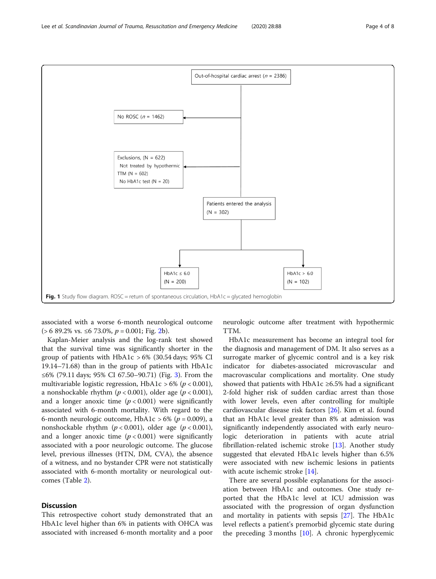<span id="page-3-0"></span>

associated with a worse 6-month neurological outcome  $($ > 6 89.[2](#page-4-0)% vs. ≤6 73.0%,  $p = 0.001$ ; Fig. 2b).

Kaplan-Meier analysis and the log-rank test showed that the survival time was significantly shorter in the group of patients with  $HbA1c > 6%$  (30.54 days; 95% CI 19.14–71.68) than in the group of patients with HbA1c ≤6% (79.11 days; 95% CI 67.50–90.71) (Fig. [3](#page-5-0)). From the multivariable logistic regression, HbA1c > 6% ( $p < 0.001$ ), a nonshockable rhythm ( $p < 0.001$ ), older age ( $p < 0.001$ ), and a longer anoxic time  $(p < 0.001)$  were significantly associated with 6-month mortality. With regard to the 6-month neurologic outcome, HbA1c > 6% ( $p = 0.009$ ), a nonshockable rhythm  $(p < 0.001)$ , older age  $(p < 0.001)$ , and a longer anoxic time  $(p < 0.001)$  were significantly associated with a poor neurologic outcome. The glucose level, previous illnesses (HTN, DM, CVA), the absence of a witness, and no bystander CPR were not statistically associated with 6-month mortality or neurological outcomes (Table [2\)](#page-5-0).

## **Discussion**

This retrospective cohort study demonstrated that an HbA1c level higher than 6% in patients with OHCA was associated with increased 6-month mortality and a poor neurologic outcome after treatment with hypothermic TTM.

HbA1c measurement has become an integral tool for the diagnosis and management of DM. It also serves as a surrogate marker of glycemic control and is a key risk indicator for diabetes-associated microvascular and macrovascular complications and mortality. One study showed that patients with HbA1c  $\geq 6.5\%$  had a significant 2-fold higher risk of sudden cardiac arrest than those with lower levels, even after controlling for multiple cardiovascular disease risk factors [\[26](#page-7-0)]. Kim et al. found that an HbA1c level greater than 8% at admission was significantly independently associated with early neurologic deterioration in patients with acute atrial fibrillation-related ischemic stroke [[13](#page-7-0)]. Another study suggested that elevated HbA1c levels higher than 6.5% were associated with new ischemic lesions in patients with acute ischemic stroke [[14\]](#page-7-0).

There are several possible explanations for the association between HbA1c and outcomes. One study reported that the HbA1c level at ICU admission was associated with the progression of organ dysfunction and mortality in patients with sepsis [\[27\]](#page-7-0). The HbA1c level reflects a patient's premorbid glycemic state during the preceding  $3$  months  $[10]$  $[10]$ . A chronic hyperglycemic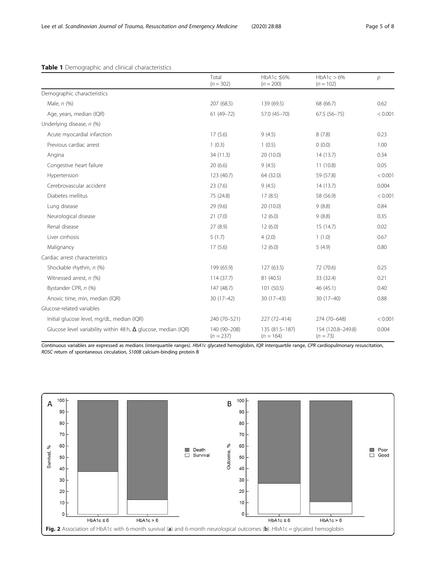|                                                                       | Total<br>$(n = 302)$        | HbA1c ≤6%<br>$(n = 200)$      | HbA1c > 6%<br>$(n = 102)$       | $\mathcal{P}$ |
|-----------------------------------------------------------------------|-----------------------------|-------------------------------|---------------------------------|---------------|
| Demographic characteristics                                           |                             |                               |                                 |               |
| Male, n (%)                                                           | 207 (68.5)                  | 139 (69.5)                    | 68 (66.7)                       | 0.62          |
| Age, years, median (IQR)                                              | $61(49 - 72)$               | 57.0 (45-70)                  | $67.5(56-75)$                   | < 0.001       |
| Underlying disease, n (%)                                             |                             |                               |                                 |               |
| Acute myocardial infarction                                           | 17(5.6)                     | 9(4.5)                        | 8(7.8)                          | 0.23          |
| Previous cardiac arrest                                               | 1(0.3)                      | 1(0.5)                        | 0(0.0)                          | 1.00          |
| Angina                                                                | 34 (11.3)                   | 20 (10.0)                     | 14(13.7)                        | 0.34          |
| Congestive heart failure                                              | 20(6.6)                     | 9(4.5)                        | 11(10.8)                        | 0.05          |
| Hypertension                                                          | 123 (40.7)                  | 64 (32.0)                     | 59 (57.8)                       | < 0.001       |
| Cerebrovascular accident                                              | 23(7.6)                     | 9(4.5)                        | 14 (13.7)                       | 0.004         |
| Diabetes mellitus                                                     | 75 (24.8)                   | 17(8.5)                       | 58 (56.9)                       | < 0.001       |
| Lung disease                                                          | 29 (9.6)                    | 20 (10.0)                     | 9(8.8)                          | 0.84          |
| Neurological disease                                                  | 21(7.0)                     | 12(6.0)                       | 9(8.8)                          | 0.35          |
| Renal disease                                                         | 27 (8.9)                    | 12(6.0)                       | 15(14.7)                        | 0.02          |
| Liver cirrhosis                                                       | 5(1.7)                      | 4(2.0)                        | 1(1.0)                          | 0.67          |
| Malignancy                                                            | 17(5.6)                     | 12(6.0)                       | 5(4.9)                          | 0.80          |
| Cardiac arrest characteristics                                        |                             |                               |                                 |               |
| Shockable rhythm, n (%)                                               | 199 (65.9)                  | 127 (63.5)                    | 72 (70.6)                       | 0.25          |
| Witnessed arrest, n (%)                                               | 114(37.7)                   | 81 (40.5)                     | 33 (32.4)                       | 0.21          |
| Bystander CPR, n (%)                                                  | 147 (48.7)                  | 101(50.5)                     | 46 (45.1)                       | 0.40          |
| Anoxic time, min, median (IQR)                                        | $30(17-42)$                 | $30(17-43)$                   | $30(17-40)$                     | 0.88          |
| Glucose-related variables                                             |                             |                               |                                 |               |
| Initial glucose level, mg/dL, median (IQR)                            | 240 (70-521)                | 227 (72-414)                  | 274 (70-648)                    | < 0.001       |
| Glucose level variability within 48 h, $\Delta$ glucose, median (IQR) | 140 (90-208)<br>$(n = 237)$ | 135 (81.5-187)<br>$(n = 164)$ | 154 (120.8-249.8)<br>$(n = 73)$ | 0.004         |

## <span id="page-4-0"></span>Table 1 Demographic and clinical characteristics

Continuous variables are expressed as medians (interquartile ranges). HbA1c glycated hemoglobin, IQR interquartile range, CPR cardiopulmonary resuscitation, ROSC return of spontaneous circulation, S100B calcium-binding protein B

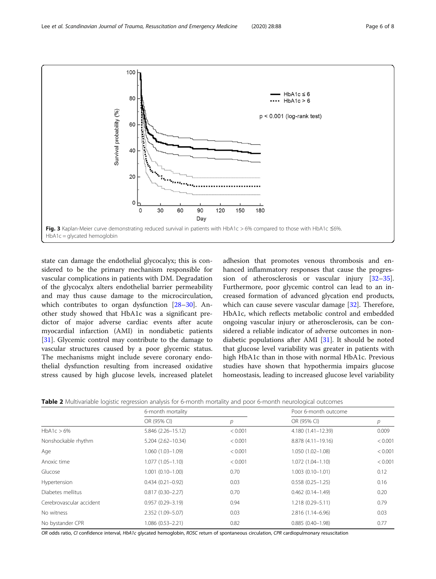<span id="page-5-0"></span>

state can damage the endothelial glycocalyx; this is considered to be the primary mechanism responsible for vascular complications in patients with DM. Degradation of the glycocalyx alters endothelial barrier permeability and may thus cause damage to the microcirculation, which contributes to organ dysfunction [\[28](#page-7-0)–[30\]](#page-7-0). Another study showed that HbA1c was a significant predictor of major adverse cardiac events after acute myocardial infarction (AMI) in nondiabetic patients [[31\]](#page-7-0). Glycemic control may contribute to the damage to vascular structures caused by a poor glycemic status. The mechanisms might include severe coronary endothelial dysfunction resulting from increased oxidative stress caused by high glucose levels, increased platelet adhesion that promotes venous thrombosis and enhanced inflammatory responses that cause the progression of atherosclerosis or vascular injury [[32](#page-7-0)–[35](#page-7-0)]. Furthermore, poor glycemic control can lead to an increased formation of advanced glycation end products, which can cause severe vascular damage [[32\]](#page-7-0). Therefore, HbA1c, which reflects metabolic control and embedded ongoing vascular injury or atherosclerosis, can be considered a reliable indicator of adverse outcomes in nondiabetic populations after AMI [\[31\]](#page-7-0). It should be noted that glucose level variability was greater in patients with high HbA1c than in those with normal HbA1c. Previous studies have shown that hypothermia impairs glucose homeostasis, leading to increased glucose level variability

**Table 2** Multivariable logistic regression analysis for 6-month mortality and poor 6-month neurological outcomes

|                          | 6-month mortality    |         | Poor 6-month outcome |         |
|--------------------------|----------------------|---------|----------------------|---------|
|                          | OR (95% CI)          | р       | OR (95% CI)          | р       |
| HbA1c > 6%               | 5.846 (2.26-15.12)   | < 0.001 | 4.180 (1.41-12.39)   | 0.009   |
| Nonshockable rhythm      | 5.204 (2.62-10.34)   | < 0.001 | 8.878 (4.11-19.16)   | < 0.001 |
| Age                      | $1.060(1.03 - 1.09)$ | < 0.001 | $1.050(1.02 - 1.08)$ | < 0.001 |
| Anoxic time              | $1.077(1.05 - 1.10)$ | < 0.001 | $1.072(1.04 - 1.10)$ | < 0.001 |
| Glucose                  | $1.001(0.10 - 1.00)$ | 0.70    | $1.003(0.10 - 1.01)$ | 0.12    |
| Hypertension             | $0.434(0.21 - 0.92)$ | 0.03    | $0.558(0.25 - 1.25)$ | 0.16    |
| Diabetes mellitus        | $0.817(0.30 - 2.27)$ | 0.70    | $0.462(0.14 - 1.49)$ | 0.20    |
| Cerebrovascular accident | $0.957(0.29 - 3.19)$ | 0.94    | 1.218 (0.29 - 5.11)  | 0.79    |
| No witness               | 2.352 (1.09-5.07)    | 0.03    | 2.816 (1.14-6.96)    | 0.03    |
| No bystander CPR         | 1.086 (0.53-2.21)    | 0.82    | $0.885(0.40-1.98)$   | 0.77    |
|                          |                      |         |                      |         |

OR odds ratio, CI confidence interval, HbA1c glycated hemoglobin, ROSC return of spontaneous circulation, CPR cardiopulmonary resuscitation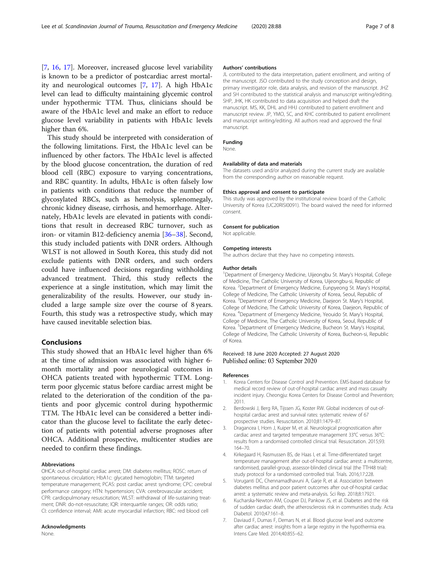<span id="page-6-0"></span>[7, [16,](#page-7-0) [17\]](#page-7-0). Moreover, increased glucose level variability is known to be a predictor of postcardiac arrest mortality and neurological outcomes [7, [17\]](#page-7-0). A high HbA1c level can lead to difficulty maintaining glycemic control under hypothermic TTM. Thus, clinicians should be aware of the HbA1c level and make an effort to reduce glucose level variability in patients with HbA1c levels higher than 6%.

This study should be interpreted with consideration of the following limitations. First, the HbA1c level can be influenced by other factors. The HbA1c level is affected by the blood glucose concentration, the duration of red blood cell (RBC) exposure to varying concentrations, and RBC quantity. In adults, HbA1c is often falsely low in patients with conditions that reduce the number of glycosylated RBCs, such as hemolysis, splenomegaly, chronic kidney disease, cirrhosis, and hemorrhage. Alternately, HbA1c levels are elevated in patients with conditions that result in decreased RBC turnover, such as iron- or vitamin B12-deficiency anemia [[36](#page-7-0)–[38](#page-7-0)]. Second, this study included patients with DNR orders. Although WLST is not allowed in South Korea, this study did not exclude patients with DNR orders, and such orders could have influenced decisions regarding withholding advanced treatment. Third, this study reflects the experience at a single institution, which may limit the generalizability of the results. However, our study included a large sample size over the course of 8 years. Fourth, this study was a retrospective study, which may have caused inevitable selection bias.

## Conclusions

This study showed that an HbA1c level higher than 6% at the time of admission was associated with higher 6 month mortality and poor neurological outcomes in OHCA patients treated with hypothermic TTM. Longterm poor glycemic status before cardiac arrest might be related to the deterioration of the condition of the patients and poor glycemic control during hypothermic TTM. The HbA1c level can be considered a better indicator than the glucose level to facilitate the early detection of patients with potential adverse prognoses after OHCA. Additional prospective, multicenter studies are needed to confirm these findings.

#### Abbreviations

OHCA: out-of-hospital cardiac arrest; DM: diabetes mellitus; ROSC: return of spontaneous circulation; HbA1c: glycated hemoglobin; TTM: targeted temperature management; PCAS: post cardiac arrest syndrome; CPC: cerebral performance category; HTN: hypertension; CVA: cerebrovascular accident; CPR: cardiopulmonary resuscitation; WLST: withdrawal of life-sustaining treatment; DNR: do-not-resuscitate; IQR: interquartile ranges; OR: odds ratio; CI: confidence interval; AMI: acute myocardial infarction; RBC: red blood cell

#### Acknowledgments

None.

#### Authors' contributions

JL contributed to the data interpretation, patient enrollment, and writing of the manuscript. JSO contributed to the study conception and design, primary investigator role, data analysis, and revision of the manuscript. JHZ and SH contributed to the statistical analysis and manuscript writing/editing. SHP, JHK, HK contributed to data acquisition and helped draft the manuscript. MS, KK, DHL and HHJ contributed to patient enrollment and manuscript review. JP, YMO, SC, and KHC contributed to patient enrollment and manuscript writing/editing. All authors read and approved the final manuscript.

#### Funding

None.

#### Availability of data and materials

The datasets used and/or analyzed during the current study are available from the corresponding author on reasonable request.

#### Ethics approval and consent to participate

This study was approved by the institutional review board of the Catholic University of Korea (UC20RISI0091). The board waived the need for informed consent.

#### Consent for publication

Not applicable.

#### Competing interests

The authors declare that they have no competing interests.

#### Author details

<sup>1</sup>Department of Emergency Medicine, Uijeongbu St. Mary's Hospital, College of Medicine, The Catholic University of Korea, Uijeongbu-si, Republic of Korea. <sup>2</sup> Department of Emergency Medicine, Eunpyeong St. Mary's Hospital College of Medicine, The Catholic University of Korea, Seoul, Republic of Korea. <sup>3</sup> Department of Emergency Medicine, Daejeon St. Mary's Hospital College of Medicine, The Catholic University of Korea, Daejeon, Republic of Korea. <sup>4</sup> Department of Emergency Medicine, Yeouido St. Mary's Hospital, College of Medicine, The Catholic University of Korea, Seoul, Republic of Korea. <sup>5</sup> Department of Emergency Medicine, Bucheon St. Mary's Hospital, College of Medicine, The Catholic University of Korea, Bucheon-si, Republic of Korea.

#### Received: 18 June 2020 Accepted: 27 August 2020 Published online: 03 September 2020

#### References

- 1. Korea Centers for Disease Control and Prevention. EMS-based database for medical record review of out-of-hospital cardiac arrest and mass casualty incident injury. Cheongju: Korea Centers for Disease Control and Prevention; 2011.
- 2. Berdowski J, Berg RA, Tijssen JG, Koster RW. Global incidences of out-ofhospital cardiac arrest and survival rates: systematic review of 67 prospective studies. Resuscitation. 2010;81:1479–87.
- Dragancea I, Horn J, Kuiper M, et al. Neurological prognostication after cardiac arrest and targeted temperature management 33°C versus 36°C: results from a randomised controlled clinical trial. Resuscitation. 2015;93: 164–70.
- 4. Kirkegaard H, Rasmussen BS, de Haas I, et al. Time-differentiated target temperature management after out-of-hospital cardiac arrest: a multicentre, randomised, parallel-group, assessor-blinded clinical trial (the TTH48 trial): study protocol for a randomised controlled trial. Trials. 2016;17:228.
- 5. Voruganti DC, Chennamadhavuni A, Garje R, et al. Association between diabetes mellitus and poor patient outcomes after out-of-hospital cardiac arrest: a systematic review and meta-analysis. Sci Rep. 2018;8:17921.
- 6. Kucharska-Newton AM, Couper DJ, Pankow JS, et al. Diabetes and the risk of sudden cardiac death, the atherosclerosis risk in communities study. Acta Diabetol. 2010;47:161–8.
- Daviaud F, Dumas F, Demars N, et al. Blood glucose level and outcome after cardiac arrest: insights from a large registry in the hypothermia era. Intens Care Med. 2014;40:855–62.